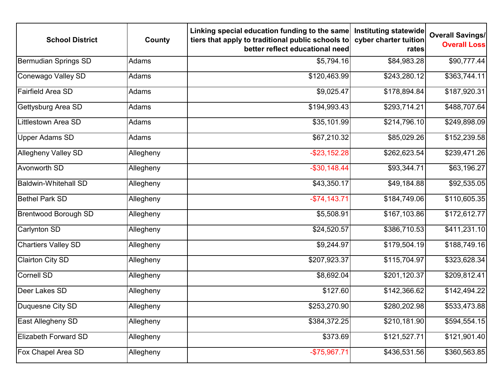| <b>School District</b>      | County    | Linking special education funding to the same<br>tiers that apply to traditional public schools to<br>better reflect educational need | Instituting statewide<br>cyber charter tuition<br>rates | <b>Overall Savings/</b><br><b>Overall Loss</b> |
|-----------------------------|-----------|---------------------------------------------------------------------------------------------------------------------------------------|---------------------------------------------------------|------------------------------------------------|
| Bermudian Springs SD        | Adams     | \$5,794.16                                                                                                                            | \$84,983.28                                             | \$90,777.44                                    |
| Conewago Valley SD          | Adams     | \$120,463.99                                                                                                                          | \$243,280.12                                            | \$363,744.11                                   |
| <b>Fairfield Area SD</b>    | Adams     | \$9,025.47                                                                                                                            | \$178,894.84                                            | \$187,920.31                                   |
| Gettysburg Area SD          | Adams     | \$194,993.43                                                                                                                          | \$293,714.21                                            | \$488,707.64                                   |
| Littlestown Area SD         | Adams     | \$35,101.99                                                                                                                           | \$214,796.10                                            | \$249,898.09                                   |
| <b>Upper Adams SD</b>       | Adams     | \$67,210.32                                                                                                                           | \$85,029.26                                             | \$152,239.58                                   |
| <b>Allegheny Valley SD</b>  | Allegheny | $-$ \$23,152.28                                                                                                                       | \$262,623.54                                            | \$239,471.26                                   |
| <b>Avonworth SD</b>         | Allegheny | $-$30,148.44$                                                                                                                         | \$93,344.71                                             | \$63,196.27                                    |
| <b>Baldwin-Whitehall SD</b> | Allegheny | \$43,350.17                                                                                                                           | \$49,184.88                                             | \$92,535.05                                    |
| <b>Bethel Park SD</b>       | Allegheny | $-$74,143.71$                                                                                                                         | \$184,749.06                                            | \$110,605.35                                   |
| <b>Brentwood Borough SD</b> | Allegheny | \$5,508.91                                                                                                                            | \$167,103.86                                            | \$172,612.77                                   |
| Carlynton SD                | Allegheny | \$24,520.57                                                                                                                           | \$386,710.53                                            | \$411,231.10                                   |
| <b>Chartiers Valley SD</b>  | Allegheny | \$9,244.97                                                                                                                            | \$179,504.19                                            | \$188,749.16                                   |
| <b>Clairton City SD</b>     | Allegheny | \$207,923.37                                                                                                                          | \$115,704.97                                            | \$323,628.34                                   |
| Cornell SD                  | Allegheny | \$8,692.04                                                                                                                            | \$201,120.37                                            | \$209,812.41                                   |
| Deer Lakes SD               | Allegheny | \$127.60                                                                                                                              | \$142,366.62                                            | \$142,494.22                                   |
| Duquesne City SD            | Allegheny | \$253,270.90                                                                                                                          | \$280,202.98                                            | \$533,473.88                                   |
| <b>East Allegheny SD</b>    | Allegheny | \$384,372.25                                                                                                                          | \$210,181.90                                            | \$594,554.15                                   |
| <b>Elizabeth Forward SD</b> | Allegheny | \$373.69                                                                                                                              | \$121,527.71                                            | \$121,901.40                                   |
| Fox Chapel Area SD          | Allegheny | $-$75,967.71$                                                                                                                         | \$436,531.56                                            | \$360,563.85                                   |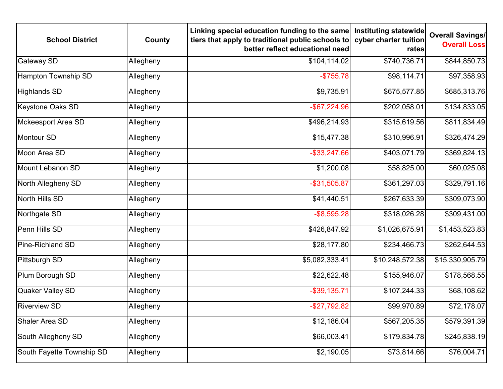| <b>School District</b>    | County    | Linking special education funding to the same<br>tiers that apply to traditional public schools to<br>better reflect educational need | Instituting statewide<br>cyber charter tuition<br>rates | <b>Overall Savings/</b><br><b>Overall Loss</b> |
|---------------------------|-----------|---------------------------------------------------------------------------------------------------------------------------------------|---------------------------------------------------------|------------------------------------------------|
| <b>Gateway SD</b>         | Allegheny | \$104,114.02                                                                                                                          | \$740,736.71                                            | \$844,850.73                                   |
| Hampton Township SD       | Allegheny | $-$ \$755.78                                                                                                                          | \$98,114.71                                             | \$97,358.93                                    |
| <b>Highlands SD</b>       | Allegheny | \$9,735.91                                                                                                                            | \$675,577.85                                            | \$685,313.76                                   |
| <b>Keystone Oaks SD</b>   | Allegheny | $-$ \$67,224.96                                                                                                                       | \$202,058.01                                            | \$134,833.05                                   |
| Mckeesport Area SD        | Allegheny | \$496,214.93                                                                                                                          | \$315,619.56                                            | \$811,834.49                                   |
| Montour SD                | Allegheny | \$15,477.38                                                                                                                           | \$310,996.91                                            | \$326,474.29                                   |
| Moon Area SD              | Allegheny | $-$ \$33,247.66                                                                                                                       | \$403,071.79                                            | \$369,824.13                                   |
| Mount Lebanon SD          | Allegheny | \$1,200.08                                                                                                                            | \$58,825.00                                             | \$60,025.08                                    |
| North Allegheny SD        | Allegheny | $-$ \$31,505.87                                                                                                                       | \$361,297.03                                            | \$329,791.16                                   |
| North Hills SD            | Allegheny | \$41,440.51                                                                                                                           | \$267,633.39                                            | \$309,073.90                                   |
| Northgate SD              | Allegheny | $-$ \$8,595.28                                                                                                                        | \$318,026.28                                            | \$309,431.00                                   |
| Penn Hills SD             | Allegheny | \$426,847.92                                                                                                                          | \$1,026,675.91                                          | \$1,453,523.83                                 |
| Pine-Richland SD          | Allegheny | \$28,177.80                                                                                                                           | \$234,466.73                                            | \$262,644.53                                   |
| Pittsburgh SD             | Allegheny | \$5,082,333.41                                                                                                                        | \$10,248,572.38                                         | \$15,330,905.79                                |
| Plum Borough SD           | Allegheny | \$22,622.48                                                                                                                           | \$155,946.07                                            | \$178,568.55                                   |
| <b>Quaker Valley SD</b>   | Allegheny | $-$ \$39,135.71                                                                                                                       | \$107,244.33                                            | \$68,108.62                                    |
| <b>Riverview SD</b>       | Allegheny | $-$ \$27,792.82                                                                                                                       | \$99,970.89                                             | \$72,178.07                                    |
| Shaler Area SD            | Allegheny | \$12,186.04                                                                                                                           | \$567,205.35                                            | \$579,391.39                                   |
| South Allegheny SD        | Allegheny | \$66,003.41                                                                                                                           | \$179,834.78                                            | \$245,838.19                                   |
| South Fayette Township SD | Allegheny | \$2,190.05                                                                                                                            | \$73,814.66                                             | \$76,004.71                                    |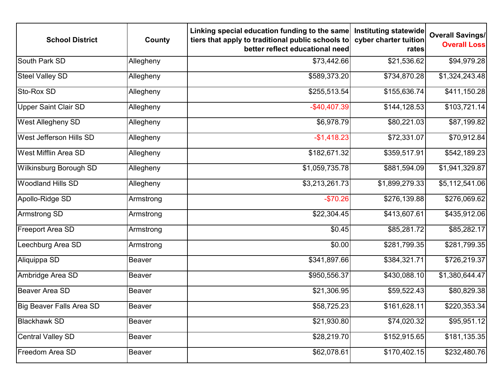| <b>School District</b>        | County        | Linking special education funding to the same<br>tiers that apply to traditional public schools to<br>better reflect educational need | Instituting statewide<br>cyber charter tuition<br>rates | <b>Overall Savings/</b><br><b>Overall Loss</b> |
|-------------------------------|---------------|---------------------------------------------------------------------------------------------------------------------------------------|---------------------------------------------------------|------------------------------------------------|
| South Park SD                 | Allegheny     | \$73,442.66                                                                                                                           | \$21,536.62                                             | \$94,979.28                                    |
| <b>Steel Valley SD</b>        | Allegheny     | \$589,373.20                                                                                                                          | \$734,870.28                                            | \$1,324,243.48                                 |
| Sto-Rox SD                    | Allegheny     | \$255,513.54                                                                                                                          | \$155,636.74                                            | \$411,150.28                                   |
| <b>Upper Saint Clair SD</b>   | Allegheny     | $-$40,407.39$                                                                                                                         | \$144,128.53                                            | \$103,721.14                                   |
| <b>West Allegheny SD</b>      | Allegheny     | \$6,978.79                                                                                                                            | \$80,221.03                                             | \$87,199.82                                    |
| West Jefferson Hills SD       | Allegheny     | $-$1,418.23$                                                                                                                          | \$72,331.07                                             | \$70,912.84                                    |
| <b>West Mifflin Area SD</b>   | Allegheny     | \$182,671.32                                                                                                                          | \$359,517.91                                            | \$542,189.23                                   |
| <b>Wilkinsburg Borough SD</b> | Allegheny     | \$1,059,735.78                                                                                                                        | \$881,594.09                                            | \$1,941,329.87                                 |
| <b>Woodland Hills SD</b>      | Allegheny     | \$3,213,261.73                                                                                                                        | \$1,899,279.33                                          | \$5,112,541.06                                 |
| Apollo-Ridge SD               | Armstrong     | $-$70.26$                                                                                                                             | \$276,139.88                                            | \$276,069.62                                   |
| <b>Armstrong SD</b>           | Armstrong     | \$22,304.45                                                                                                                           | \$413,607.61                                            | \$435,912.06                                   |
| <b>Freeport Area SD</b>       | Armstrong     | \$0.45                                                                                                                                | \$85,281.72                                             | \$85,282.17                                    |
| Leechburg Area SD             | Armstrong     | \$0.00                                                                                                                                | \$281,799.35                                            | \$281,799.35                                   |
| Aliquippa SD                  | <b>Beaver</b> | \$341,897.66                                                                                                                          | \$384,321.71                                            | \$726,219.37                                   |
| Ambridge Area SD              | <b>Beaver</b> | \$950,556.37                                                                                                                          | \$430,088.10                                            | \$1,380,644.47                                 |
| Beaver Area SD                | <b>Beaver</b> | \$21,306.95                                                                                                                           | \$59,522.43                                             | \$80,829.38                                    |
| Big Beaver Falls Area SD      | <b>Beaver</b> | \$58,725.23                                                                                                                           | \$161,628.11                                            | \$220,353.34                                   |
| <b>Blackhawk SD</b>           | <b>Beaver</b> | \$21,930.80                                                                                                                           | \$74,020.32                                             | \$95,951.12                                    |
| <b>Central Valley SD</b>      | <b>Beaver</b> | \$28,219.70                                                                                                                           | \$152,915.65                                            | \$181,135.35                                   |
| Freedom Area SD               | <b>Beaver</b> | \$62,078.61                                                                                                                           | \$170,402.15                                            | \$232,480.76                                   |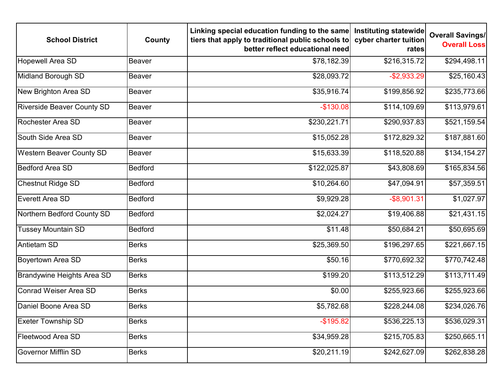| <b>School District</b>            | County         | Linking special education funding to the same<br>tiers that apply to traditional public schools to<br>better reflect educational need | Instituting statewide<br>cyber charter tuition<br>rates | <b>Overall Savings/</b><br><b>Overall Loss</b> |
|-----------------------------------|----------------|---------------------------------------------------------------------------------------------------------------------------------------|---------------------------------------------------------|------------------------------------------------|
| <b>Hopewell Area SD</b>           | <b>Beaver</b>  | \$78,182.39                                                                                                                           | \$216,315.72                                            | \$294,498.11                                   |
| Midland Borough SD                | <b>Beaver</b>  | \$28,093.72                                                                                                                           | $-$2,933.29$                                            | \$25,160.43                                    |
| New Brighton Area SD              | Beaver         | \$35,916.74                                                                                                                           | \$199,856.92                                            | \$235,773.66                                   |
| <b>Riverside Beaver County SD</b> | Beaver         | $-$130.08$                                                                                                                            | \$114,109.69                                            | \$113,979.61                                   |
| Rochester Area SD                 | Beaver         | \$230,221.71                                                                                                                          | \$290,937.83                                            | \$521,159.54                                   |
| South Side Area SD                | Beaver         | \$15,052.28                                                                                                                           | \$172,829.32                                            | \$187,881.60                                   |
| <b>Western Beaver County SD</b>   | Beaver         | \$15,633.39                                                                                                                           | \$118,520.88                                            | \$134,154.27                                   |
| <b>Bedford Area SD</b>            | <b>Bedford</b> | \$122,025.87                                                                                                                          | \$43,808.69                                             | \$165,834.56                                   |
| <b>Chestnut Ridge SD</b>          | <b>Bedford</b> | \$10,264.60                                                                                                                           | \$47,094.91                                             | \$57,359.51                                    |
| Everett Area SD                   | <b>Bedford</b> | \$9,929.28                                                                                                                            | $-$ \$8,901.31                                          | \$1,027.97                                     |
| Northern Bedford County SD        | <b>Bedford</b> | \$2,024.27                                                                                                                            | \$19,406.88                                             | \$21,431.15                                    |
| <b>Tussey Mountain SD</b>         | <b>Bedford</b> | \$11.48                                                                                                                               | \$50,684.21                                             | \$50,695.69                                    |
| Antietam SD                       | <b>Berks</b>   | \$25,369.50                                                                                                                           | \$196,297.65                                            | \$221,667.15                                   |
| Boyertown Area SD                 | <b>Berks</b>   | \$50.16                                                                                                                               | \$770,692.32                                            | \$770,742.48                                   |
| <b>Brandywine Heights Area SD</b> | <b>Berks</b>   | \$199.20                                                                                                                              | \$113,512.29                                            | \$113,711.49                                   |
| Conrad Weiser Area SD             | <b>Berks</b>   | \$0.00                                                                                                                                | \$255,923.66                                            | \$255,923.66                                   |
| Daniel Boone Area SD              | <b>Berks</b>   | \$5,782.68                                                                                                                            | \$228,244.08                                            | \$234,026.76                                   |
| <b>Exeter Township SD</b>         | <b>Berks</b>   | $-$195.82$                                                                                                                            | \$536,225.13                                            | \$536,029.31                                   |
| Fleetwood Area SD                 | <b>Berks</b>   | \$34,959.28                                                                                                                           | \$215,705.83                                            | \$250,665.11                                   |
| <b>Governor Mifflin SD</b>        | <b>Berks</b>   | \$20,211.19                                                                                                                           | \$242,627.09                                            | \$262,838.28                                   |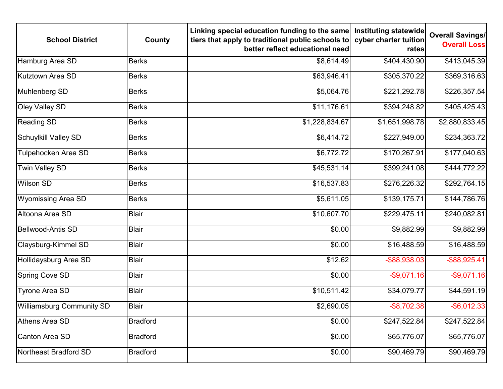| <b>School District</b>           | County          | Linking special education funding to the same<br>tiers that apply to traditional public schools to<br>better reflect educational need | Instituting statewide<br>cyber charter tuition<br>rates | <b>Overall Savings/</b><br><b>Overall Loss</b> |
|----------------------------------|-----------------|---------------------------------------------------------------------------------------------------------------------------------------|---------------------------------------------------------|------------------------------------------------|
| Hamburg Area SD                  | <b>Berks</b>    | \$8,614.49                                                                                                                            | \$404,430.90                                            | \$413,045.39                                   |
| Kutztown Area SD                 | <b>Berks</b>    | \$63,946.41                                                                                                                           | \$305,370.22                                            | \$369,316.63                                   |
| Muhlenberg SD                    | <b>Berks</b>    | \$5,064.76                                                                                                                            | \$221,292.78                                            | \$226,357.54                                   |
| Oley Valley SD                   | <b>Berks</b>    | \$11,176.61                                                                                                                           | \$394,248.82                                            | \$405,425.43                                   |
| <b>Reading SD</b>                | <b>Berks</b>    | \$1,228,834.67                                                                                                                        | \$1,651,998.78                                          | \$2,880,833.45                                 |
| <b>Schuylkill Valley SD</b>      | <b>Berks</b>    | \$6,414.72                                                                                                                            | \$227,949.00                                            | \$234,363.72                                   |
| Tulpehocken Area SD              | <b>Berks</b>    | $\overline{$}6,772.72$                                                                                                                | \$170,267.91                                            | \$177,040.63                                   |
| <b>Twin Valley SD</b>            | <b>Berks</b>    | \$45,531.14                                                                                                                           | \$399,241.08                                            | \$444,772.22                                   |
| <b>Wilson SD</b>                 | <b>Berks</b>    | \$16,537.83                                                                                                                           | \$276,226.32                                            | \$292,764.15                                   |
| <b>Wyomissing Area SD</b>        | <b>Berks</b>    | \$5,611.05                                                                                                                            | \$139,175.71                                            | \$144,786.76                                   |
| Altoona Area SD                  | <b>Blair</b>    | \$10,607.70                                                                                                                           | \$229,475.11                                            | \$240,082.81                                   |
| <b>Bellwood-Antis SD</b>         | <b>Blair</b>    | \$0.00                                                                                                                                | \$9,882.99                                              | \$9,882.99                                     |
| <b>Claysburg-Kimmel SD</b>       | <b>Blair</b>    | \$0.00                                                                                                                                | \$16,488.59                                             | \$16,488.59                                    |
| Hollidaysburg Area SD            | <b>Blair</b>    | \$12.62                                                                                                                               | -\$88,938.03                                            | $-$ \$88,925.41                                |
| <b>Spring Cove SD</b>            | <b>Blair</b>    | \$0.00                                                                                                                                | $-$9,071.16$                                            | $-$9,071.16$                                   |
| <b>Tyrone Area SD</b>            | <b>Blair</b>    | \$10,511.42                                                                                                                           | \$34,079.77                                             | \$44,591.19                                    |
| <b>Williamsburg Community SD</b> | <b>Blair</b>    | \$2,690.05                                                                                                                            | $-$ \$8,702.38                                          | $-$ \$6,012.33                                 |
| Athens Area SD                   | <b>Bradford</b> | \$0.00                                                                                                                                | \$247,522.84                                            | \$247,522.84                                   |
| Canton Area SD                   | <b>Bradford</b> | \$0.00                                                                                                                                | \$65,776.07                                             | \$65,776.07                                    |
| Northeast Bradford SD            | <b>Bradford</b> | \$0.00                                                                                                                                | \$90,469.79                                             | \$90,469.79                                    |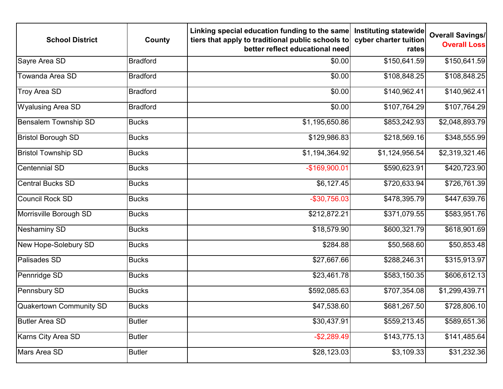| <b>School District</b>      | County          | Linking special education funding to the same<br>tiers that apply to traditional public schools to<br>better reflect educational need | Instituting statewide<br>cyber charter tuition<br>rates | <b>Overall Savings/</b><br><b>Overall Loss</b> |
|-----------------------------|-----------------|---------------------------------------------------------------------------------------------------------------------------------------|---------------------------------------------------------|------------------------------------------------|
| Sayre Area SD               | <b>Bradford</b> | \$0.00                                                                                                                                | \$150,641.59                                            | \$150,641.59                                   |
| Towanda Area SD             | <b>Bradford</b> | \$0.00                                                                                                                                | \$108,848.25                                            | \$108,848.25                                   |
| <b>Troy Area SD</b>         | <b>Bradford</b> | \$0.00                                                                                                                                | \$140,962.41                                            | \$140,962.41                                   |
| <b>Wyalusing Area SD</b>    | <b>Bradford</b> | \$0.00                                                                                                                                | \$107,764.29                                            | \$107,764.29                                   |
| <b>Bensalem Township SD</b> | <b>Bucks</b>    | \$1,195,650.86                                                                                                                        | \$853,242.93                                            | \$2,048,893.79                                 |
| <b>Bristol Borough SD</b>   | <b>Bucks</b>    | \$129,986.83                                                                                                                          | \$218,569.16                                            | \$348,555.99                                   |
| <b>Bristol Township SD</b>  | <b>Bucks</b>    | \$1,194,364.92                                                                                                                        | \$1,124,956.54                                          | \$2,319,321.46                                 |
| <b>Centennial SD</b>        | <b>Bucks</b>    | -\$169,900.01                                                                                                                         | \$590,623.91                                            | \$420,723.90                                   |
| <b>Central Bucks SD</b>     | <b>Bucks</b>    | \$6,127.45                                                                                                                            | \$720,633.94                                            | \$726,761.39                                   |
| <b>Council Rock SD</b>      | <b>Bucks</b>    | $-$30,756.03$                                                                                                                         | \$478,395.79                                            | \$447,639.76                                   |
| Morrisville Borough SD      | <b>Bucks</b>    | \$212,872.21                                                                                                                          | \$371,079.55                                            | \$583,951.76                                   |
| Neshaminy SD                | <b>Bucks</b>    | \$18,579.90                                                                                                                           | \$600,321.79                                            | \$618,901.69                                   |
| New Hope-Solebury SD        | <b>Bucks</b>    | \$284.88                                                                                                                              | \$50,568.60                                             | \$50,853.48                                    |
| Palisades SD                | <b>Bucks</b>    | \$27,667.66                                                                                                                           | \$288,246.31                                            | \$315,913.97                                   |
| Pennridge SD                | <b>Bucks</b>    | \$23,461.78                                                                                                                           | \$583,150.35                                            | \$606,612.13                                   |
| Pennsbury SD                | <b>Bucks</b>    | \$592,085.63                                                                                                                          | \$707,354.08                                            | \$1,299,439.71                                 |
| Quakertown Community SD     | <b>Bucks</b>    | \$47,538.60                                                                                                                           | \$681,267.50                                            | \$728,806.10                                   |
| <b>Butler Area SD</b>       | <b>Butler</b>   | \$30,437.91                                                                                                                           | \$559,213.45                                            | \$589,651.36                                   |
| Karns City Area SD          | <b>Butler</b>   | $-$2,289.49$                                                                                                                          | \$143,775.13                                            | \$141,485.64                                   |
| Mars Area SD                | <b>Butler</b>   | \$28,123.03                                                                                                                           | \$3,109.33                                              | \$31,232.36                                    |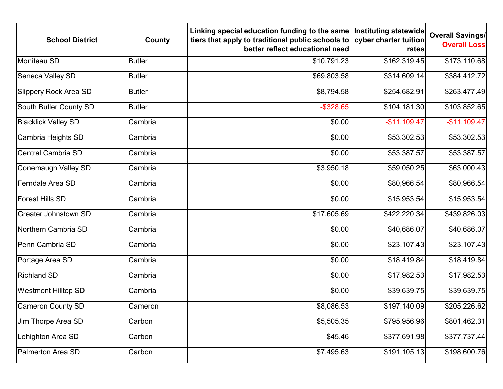| <b>School District</b>       | County        | Linking special education funding to the same<br>tiers that apply to traditional public schools to<br>better reflect educational need | Instituting statewide<br>cyber charter tuition<br>rates | <b>Overall Savings/</b><br><b>Overall Loss</b> |
|------------------------------|---------------|---------------------------------------------------------------------------------------------------------------------------------------|---------------------------------------------------------|------------------------------------------------|
| Moniteau SD                  | <b>Butler</b> | \$10,791.23                                                                                                                           | \$162,319.45                                            | \$173,110.68                                   |
| Seneca Valley SD             | <b>Butler</b> | \$69,803.58                                                                                                                           | \$314,609.14                                            | \$384,412.72                                   |
| <b>Slippery Rock Area SD</b> | <b>Butler</b> | \$8,794.58                                                                                                                            | \$254,682.91                                            | \$263,477.49                                   |
| South Butler County SD       | <b>Butler</b> | $-$ \$328.65                                                                                                                          | \$104,181.30                                            | \$103,852.65                                   |
| <b>Blacklick Valley SD</b>   | Cambria       | \$0.00                                                                                                                                | $-$11,109.47$                                           | $-$11,109.47$                                  |
| Cambria Heights SD           | Cambria       | \$0.00                                                                                                                                | \$53,302.53                                             | \$53,302.53                                    |
| <b>Central Cambria SD</b>    | Cambria       | \$0.00                                                                                                                                | \$53,387.57                                             | \$53,387.57                                    |
| Conemaugh Valley SD          | Cambria       | \$3,950.18                                                                                                                            | \$59,050.25                                             | \$63,000.43                                    |
| Ferndale Area SD             | Cambria       | \$0.00                                                                                                                                | \$80,966.54                                             | \$80,966.54                                    |
| <b>Forest Hills SD</b>       | Cambria       | \$0.00                                                                                                                                | \$15,953.54                                             | \$15,953.54                                    |
| Greater Johnstown SD         | Cambria       | \$17,605.69                                                                                                                           | \$422,220.34                                            | \$439,826.03                                   |
| Northern Cambria SD          | Cambria       | \$0.00                                                                                                                                | \$40,686.07                                             | \$40,686.07                                    |
| Penn Cambria SD              | Cambria       | \$0.00                                                                                                                                | \$23,107.43                                             | \$23,107.43                                    |
| Portage Area SD              | Cambria       | \$0.00                                                                                                                                | \$18,419.84                                             | \$18,419.84                                    |
| <b>Richland SD</b>           | Cambria       | \$0.00                                                                                                                                | \$17,982.53                                             | \$17,982.53                                    |
| <b>Westmont Hilltop SD</b>   | Cambria       | \$0.00                                                                                                                                | \$39,639.75                                             | \$39,639.75                                    |
| Cameron County SD            | Cameron       | \$8,086.53                                                                                                                            | \$197,140.09                                            | \$205,226.62                                   |
| Jim Thorpe Area SD           | Carbon        | \$5,505.35                                                                                                                            | \$795,956.96                                            | \$801,462.31                                   |
| Lehighton Area SD            | Carbon        | \$45.46                                                                                                                               | \$377,691.98                                            | \$377,737.44                                   |
| Palmerton Area SD            | Carbon        | \$7,495.63                                                                                                                            | \$191,105.13                                            | \$198,600.76                                   |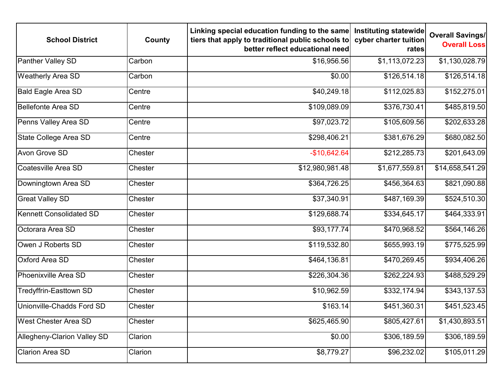| <b>School District</b>             | County  | Linking special education funding to the same<br>tiers that apply to traditional public schools to<br>better reflect educational need | Instituting statewide<br>cyber charter tuition<br>rates | <b>Overall Savings/</b><br><b>Overall Loss</b> |
|------------------------------------|---------|---------------------------------------------------------------------------------------------------------------------------------------|---------------------------------------------------------|------------------------------------------------|
| <b>Panther Valley SD</b>           | Carbon  | \$16,956.56                                                                                                                           | \$1,113,072.23                                          | \$1,130,028.79                                 |
| <b>Weatherly Area SD</b>           | Carbon  | \$0.00                                                                                                                                | \$126,514.18                                            | \$126,514.18                                   |
| <b>Bald Eagle Area SD</b>          | Centre  | \$40,249.18                                                                                                                           | \$112,025.83                                            | \$152,275.01                                   |
| <b>Bellefonte Area SD</b>          | Centre  | \$109,089.09                                                                                                                          | \$376,730.41                                            | \$485,819.50                                   |
| Penns Valley Area SD               | Centre  | \$97,023.72                                                                                                                           | \$105,609.56                                            | \$202,633.28                                   |
| State College Area SD              | Centre  | \$298,406.21                                                                                                                          | \$381,676.29                                            | \$680,082.50                                   |
| Avon Grove SD                      | Chester | $-$10,642.64$                                                                                                                         | \$212,285.73                                            | \$201,643.09                                   |
| Coatesville Area SD                | Chester | \$12,980,981.48                                                                                                                       | \$1,677,559.81                                          | \$14,658,541.29                                |
| Downingtown Area SD                | Chester | \$364,726.25                                                                                                                          | \$456,364.63                                            | \$821,090.88                                   |
| <b>Great Valley SD</b>             | Chester | \$37,340.91                                                                                                                           | \$487,169.39                                            | \$524,510.30                                   |
| Kennett Consolidated SD            | Chester | \$129,688.74                                                                                                                          | \$334,645.17                                            | \$464,333.91                                   |
| Octorara Area SD                   | Chester | \$93,177.74                                                                                                                           | \$470,968.52                                            | \$564,146.26                                   |
| Owen J Roberts SD                  | Chester | \$119,532.80                                                                                                                          | \$655,993.19                                            | \$775,525.99                                   |
| <b>Oxford Area SD</b>              | Chester | \$464,136.81                                                                                                                          | \$470,269.45                                            | \$934,406.26                                   |
| Phoenixville Area SD               | Chester | \$226,304.36                                                                                                                          | \$262,224.93                                            | \$488,529.29                                   |
| Tredyffrin-Easttown SD             | Chester | \$10,962.59                                                                                                                           | \$332,174.94                                            | \$343,137.53                                   |
| Unionville-Chadds Ford SD          | Chester | \$163.14                                                                                                                              | \$451,360.31                                            | \$451,523.45                                   |
| <b>West Chester Area SD</b>        | Chester | \$625,465.90                                                                                                                          | \$805,427.61                                            | \$1,430,893.51                                 |
| <b>Allegheny-Clarion Valley SD</b> | Clarion | \$0.00                                                                                                                                | \$306,189.59                                            | \$306,189.59                                   |
| <b>Clarion Area SD</b>             | Clarion | \$8,779.27                                                                                                                            | \$96,232.02                                             | \$105,011.29                                   |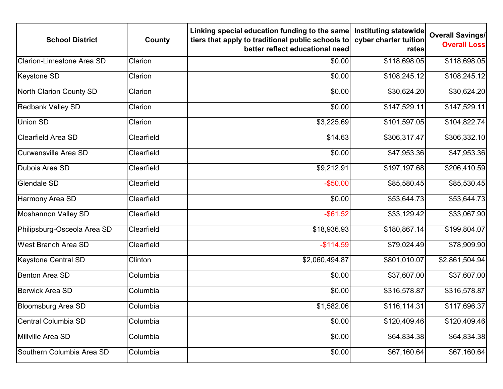| <b>School District</b>           | County     | Linking special education funding to the same<br>tiers that apply to traditional public schools to<br>better reflect educational need | Instituting statewide<br>cyber charter tuition<br>rates | <b>Overall Savings/</b><br><b>Overall Loss</b> |
|----------------------------------|------------|---------------------------------------------------------------------------------------------------------------------------------------|---------------------------------------------------------|------------------------------------------------|
| <b>Clarion-Limestone Area SD</b> | Clarion    | \$0.00                                                                                                                                | \$118,698.05                                            | \$118,698.05                                   |
| Keystone SD                      | Clarion    | \$0.00                                                                                                                                | \$108,245.12                                            | \$108,245.12                                   |
| North Clarion County SD          | Clarion    | \$0.00                                                                                                                                | \$30,624.20                                             | \$30,624.20                                    |
| <b>Redbank Valley SD</b>         | Clarion    | \$0.00                                                                                                                                | \$147,529.11                                            | \$147,529.11                                   |
| <b>Union SD</b>                  | Clarion    | \$3,225.69                                                                                                                            | \$101,597.05                                            | \$104,822.74                                   |
| <b>Clearfield Area SD</b>        | Clearfield | \$14.63                                                                                                                               | \$306,317.47                                            | \$306,332.10                                   |
| Curwensville Area SD             | Clearfield | \$0.00                                                                                                                                | \$47,953.36                                             | \$47,953.36                                    |
| Dubois Area SD                   | Clearfield | \$9,212.91                                                                                                                            | \$197,197.68                                            | \$206,410.59                                   |
| <b>Glendale SD</b>               | Clearfield | $-$50.00$                                                                                                                             | \$85,580.45                                             | \$85,530.45                                    |
| Harmony Area SD                  | Clearfield | \$0.00                                                                                                                                | \$53,644.73                                             | \$53,644.73                                    |
| <b>Moshannon Valley SD</b>       | Clearfield | $-$ \$61.52                                                                                                                           | \$33,129.42                                             | \$33,067.90                                    |
| Philipsburg-Osceola Area SD      | Clearfield | \$18,936.93                                                                                                                           | \$180,867.14                                            | \$199,804.07                                   |
| <b>West Branch Area SD</b>       | Clearfield | $-$114.59$                                                                                                                            | \$79,024.49                                             | \$78,909.90                                    |
| <b>Keystone Central SD</b>       | Clinton    | \$2,060,494.87                                                                                                                        | \$801,010.07                                            | \$2,861,504.94                                 |
| Benton Area SD                   | Columbia   | \$0.00                                                                                                                                | \$37,607.00                                             | \$37,607.00                                    |
| Berwick Area SD                  | Columbia   | \$0.00                                                                                                                                | \$316,578.87                                            | \$316,578.87                                   |
| Bloomsburg Area SD               | Columbia   | \$1,582.06                                                                                                                            | \$116, 114.31                                           | \$117,696.37                                   |
| Central Columbia SD              | Columbia   | \$0.00                                                                                                                                | \$120,409.46                                            | \$120,409.46                                   |
| Millville Area SD                | Columbia   | \$0.00                                                                                                                                | \$64,834.38                                             | \$64,834.38                                    |
| Southern Columbia Area SD        | Columbia   | \$0.00                                                                                                                                | \$67,160.64                                             | \$67,160.64                                    |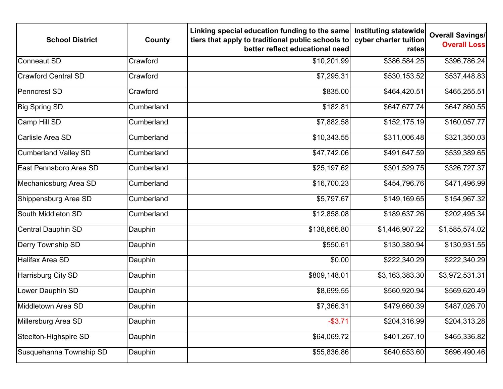| <b>School District</b>      | County     | Linking special education funding to the same<br>tiers that apply to traditional public schools to<br>better reflect educational need | <b>Instituting statewide</b><br>cyber charter tuition<br>rates | <b>Overall Savings/</b><br><b>Overall Loss</b> |
|-----------------------------|------------|---------------------------------------------------------------------------------------------------------------------------------------|----------------------------------------------------------------|------------------------------------------------|
| <b>Conneaut SD</b>          | Crawford   | \$10,201.99                                                                                                                           | \$386,584.25                                                   | \$396,786.24                                   |
| <b>Crawford Central SD</b>  | Crawford   | \$7,295.31                                                                                                                            | \$530,153.52                                                   | \$537,448.83                                   |
| <b>Penncrest SD</b>         | Crawford   | \$835.00                                                                                                                              | \$464,420.51                                                   | \$465,255.51                                   |
| <b>Big Spring SD</b>        | Cumberland | \$182.81                                                                                                                              | \$647,677.74                                                   | \$647,860.55                                   |
| Camp Hill SD                | Cumberland | \$7,882.58                                                                                                                            | \$152, 175.19                                                  | \$160,057.77                                   |
| Carlisle Area SD            | Cumberland | \$10,343.55                                                                                                                           | \$311,006.48                                                   | \$321,350.03                                   |
| <b>Cumberland Valley SD</b> | Cumberland | \$47,742.06                                                                                                                           | \$491,647.59                                                   | \$539,389.65                                   |
| East Pennsboro Area SD      | Cumberland | \$25,197.62                                                                                                                           | \$301,529.75                                                   | \$326,727.37                                   |
| Mechanicsburg Area SD       | Cumberland | \$16,700.23                                                                                                                           | \$454,796.76                                                   | \$471,496.99                                   |
| Shippensburg Area SD        | Cumberland | \$5,797.67                                                                                                                            | \$149,169.65                                                   | \$154,967.32                                   |
| South Middleton SD          | Cumberland | \$12,858.08                                                                                                                           | \$189,637.26                                                   | \$202,495.34                                   |
| <b>Central Dauphin SD</b>   | Dauphin    | \$138,666.80                                                                                                                          | \$1,446,907.22                                                 | \$1,585,574.02                                 |
| <b>Derry Township SD</b>    | Dauphin    | \$550.61                                                                                                                              | \$130,380.94                                                   | \$130,931.55                                   |
| <b>Halifax Area SD</b>      | Dauphin    | \$0.00                                                                                                                                | \$222,340.29                                                   | \$222,340.29                                   |
| <b>Harrisburg City SD</b>   | Dauphin    | \$809,148.01                                                                                                                          | \$3,163,383.30                                                 | \$3,972,531.31                                 |
| Lower Dauphin SD            | Dauphin    | \$8,699.55                                                                                                                            | \$560,920.94                                                   | \$569,620.49                                   |
| Middletown Area SD          | Dauphin    | \$7,366.31                                                                                                                            | \$479,660.39                                                   | \$487,026.70                                   |
| Millersburg Area SD         | Dauphin    | $-$ \$3.71                                                                                                                            | \$204,316.99                                                   | \$204,313.28                                   |
| Steelton-Highspire SD       | Dauphin    | \$64,069.72                                                                                                                           | \$401,267.10                                                   | \$465,336.82                                   |
| Susquehanna Township SD     | Dauphin    | \$55,836.86                                                                                                                           | \$640,653.60                                                   | \$696,490.46                                   |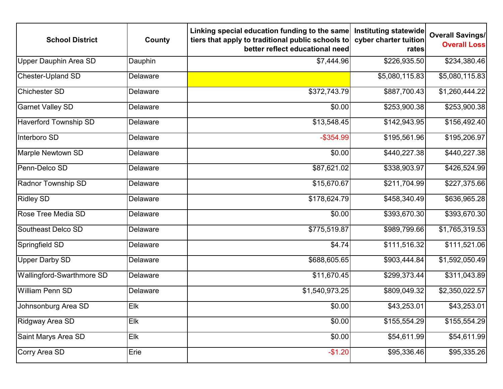| <b>School District</b>       | County   | Linking special education funding to the same<br>tiers that apply to traditional public schools to<br>better reflect educational need | <b>Instituting statewide</b><br>cyber charter tuition<br>rates | <b>Overall Savings/</b><br><b>Overall Loss</b> |
|------------------------------|----------|---------------------------------------------------------------------------------------------------------------------------------------|----------------------------------------------------------------|------------------------------------------------|
| <b>Upper Dauphin Area SD</b> | Dauphin  | \$7,444.96                                                                                                                            | \$226,935.50                                                   | \$234,380.46                                   |
| <b>Chester-Upland SD</b>     | Delaware |                                                                                                                                       | \$5,080,115.83                                                 | \$5,080,115.83                                 |
| <b>Chichester SD</b>         | Delaware | \$372,743.79                                                                                                                          | \$887,700.43                                                   | \$1,260,444.22                                 |
| <b>Garnet Valley SD</b>      | Delaware | \$0.00                                                                                                                                | \$253,900.38                                                   | \$253,900.38                                   |
| <b>Haverford Township SD</b> | Delaware | \$13,548.45                                                                                                                           | \$142,943.95                                                   | \$156,492.40                                   |
| Interboro SD                 | Delaware | $-$ \$354.99                                                                                                                          | \$195,561.96                                                   | \$195,206.97                                   |
| <b>Marple Newtown SD</b>     | Delaware | \$0.00                                                                                                                                | \$440,227.38                                                   | \$440,227.38                                   |
| Penn-Delco SD                | Delaware | \$87,621.02                                                                                                                           | \$338,903.97                                                   | \$426,524.99                                   |
| <b>Radnor Township SD</b>    | Delaware | \$15,670.67                                                                                                                           | \$211,704.99                                                   | \$227,375.66                                   |
| <b>Ridley SD</b>             | Delaware | \$178,624.79                                                                                                                          | \$458,340.49                                                   | \$636,965.28                                   |
| Rose Tree Media SD           | Delaware | \$0.00                                                                                                                                | \$393,670.30                                                   | \$393,670.30                                   |
| Southeast Delco SD           | Delaware | \$775,519.87                                                                                                                          | \$989,799.66                                                   | \$1,765,319.53                                 |
| Springfield SD               | Delaware | \$4.74                                                                                                                                | \$111,516.32                                                   | \$111,521.06                                   |
| <b>Upper Darby SD</b>        | Delaware | \$688,605.65                                                                                                                          | \$903,444.84                                                   | \$1,592,050.49                                 |
| Wallingford-Swarthmore SD    | Delaware | \$11,670.45                                                                                                                           | \$299,373.44                                                   | \$311,043.89                                   |
| <b>William Penn SD</b>       | Delaware | \$1,540,973.25                                                                                                                        | \$809,049.32                                                   | \$2,350,022.57                                 |
| Johnsonburg Area SD          | Elk      | \$0.00                                                                                                                                | \$43,253.01                                                    | \$43,253.01                                    |
| Ridgway Area SD              | Elk      | \$0.00                                                                                                                                | \$155,554.29                                                   | \$155,554.29                                   |
| Saint Marys Area SD          | Elk      | \$0.00                                                                                                                                | \$54,611.99                                                    | \$54,611.99                                    |
| Corry Area SD                | Erie     | $-$1.20$                                                                                                                              | \$95,336.46                                                    | \$95,335.26                                    |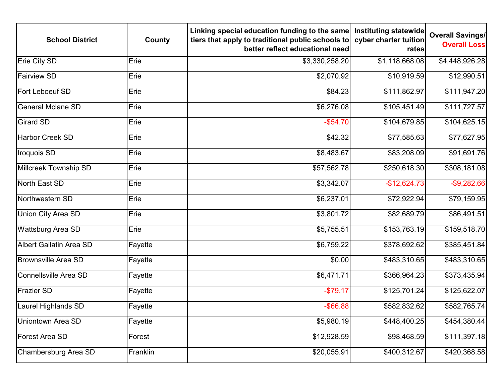| <b>School District</b>     | County   | Linking special education funding to the same<br>tiers that apply to traditional public schools to<br>better reflect educational need | Instituting statewide<br>cyber charter tuition<br>rates | <b>Overall Savings/</b><br><b>Overall Loss</b> |
|----------------------------|----------|---------------------------------------------------------------------------------------------------------------------------------------|---------------------------------------------------------|------------------------------------------------|
| Erie City SD               | Erie     | \$3,330,258.20                                                                                                                        | \$1,118,668.08                                          | \$4,448,926.28                                 |
| <b>Fairview SD</b>         | Erie     | \$2,070.92                                                                                                                            | \$10,919.59                                             | \$12,990.51                                    |
| Fort Leboeuf SD            | Erie     | \$84.23                                                                                                                               | \$111,862.97                                            | \$111,947.20                                   |
| <b>General Mclane SD</b>   | Erie     | \$6,276.08                                                                                                                            | \$105,451.49                                            | \$111,727.57                                   |
| <b>Girard SD</b>           | Erie     | $-$ \$54.70                                                                                                                           | \$104,679.85                                            | \$104,625.15                                   |
| <b>Harbor Creek SD</b>     | Erie     | \$42.32                                                                                                                               | \$77,585.63                                             | \$77,627.95                                    |
| Iroquois SD                | Erie     | \$8,483.67                                                                                                                            | \$83,208.09                                             | \$91,691.76                                    |
| Millcreek Township SD      | Erie     | \$57,562.78                                                                                                                           | \$250,618.30                                            | \$308,181.08                                   |
| North East SD              | Erie     | \$3,342.07                                                                                                                            | $-$12,624.73$                                           | $-$9,282.66$                                   |
| Northwestern SD            | Erie     | \$6,237.01                                                                                                                            | \$72,922.94                                             | \$79,159.95                                    |
| <b>Union City Area SD</b>  | Erie     | \$3,801.72                                                                                                                            | \$82,689.79                                             | \$86,491.51                                    |
| <b>Wattsburg Area SD</b>   | Erie     | \$5,755.51                                                                                                                            | \$153,763.19                                            | \$159,518.70                                   |
| Albert Gallatin Area SD    | Fayette  | \$6,759.22                                                                                                                            | \$378,692.62                                            | \$385,451.84                                   |
| <b>Brownsville Area SD</b> | Fayette  | \$0.00                                                                                                                                | \$483,310.65                                            | \$483,310.65                                   |
| Connellsville Area SD      | Fayette  | \$6,471.71                                                                                                                            | \$366,964.23                                            | \$373,435.94                                   |
| <b>Frazier SD</b>          | Fayette  | $-$79.17$                                                                                                                             | \$125,701.24                                            | \$125,622.07                                   |
| Laurel Highlands SD        | Fayette  | $-$ \$66.88                                                                                                                           | \$582,832.62                                            | \$582,765.74                                   |
| Uniontown Area SD          | Fayette  | \$5,980.19                                                                                                                            | \$448,400.25                                            | \$454,380.44                                   |
| Forest Area SD             | Forest   | \$12,928.59                                                                                                                           | \$98,468.59                                             | \$111,397.18                                   |
| Chambersburg Area SD       | Franklin | \$20,055.91                                                                                                                           | \$400,312.67                                            | \$420,368.58                                   |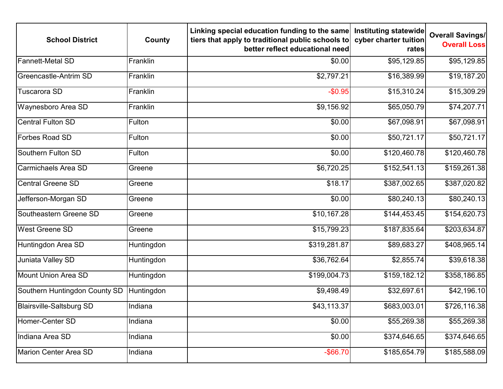| <b>School District</b>          | County     | Linking special education funding to the same<br>tiers that apply to traditional public schools to<br>better reflect educational need | Instituting statewide<br>cyber charter tuition<br>rates | <b>Overall Savings/</b><br><b>Overall Loss</b> |
|---------------------------------|------------|---------------------------------------------------------------------------------------------------------------------------------------|---------------------------------------------------------|------------------------------------------------|
| <b>Fannett-Metal SD</b>         | Franklin   | \$0.00                                                                                                                                | \$95,129.85                                             | \$95,129.85                                    |
| <b>Greencastle-Antrim SD</b>    | Franklin   | \$2,797.21                                                                                                                            | \$16,389.99                                             | \$19,187.20                                    |
| Tuscarora SD                    | Franklin   | $-$0.95$                                                                                                                              | \$15,310.24                                             | \$15,309.29                                    |
| Waynesboro Area SD              | Franklin   | \$9,156.92                                                                                                                            | \$65,050.79                                             | \$74,207.71                                    |
| <b>Central Fulton SD</b>        | Fulton     | \$0.00                                                                                                                                | \$67,098.91                                             | \$67,098.91                                    |
| <b>Forbes Road SD</b>           | Fulton     | \$0.00                                                                                                                                | \$50,721.17                                             | $$50,721.\overline{17}]$                       |
| Southern Fulton SD              | Fulton     | \$0.00                                                                                                                                | \$120,460.78                                            | \$120,460.78                                   |
| Carmichaels Area SD             | Greene     | \$6,720.25                                                                                                                            | \$152,541.13                                            | \$159,261.38                                   |
| <b>Central Greene SD</b>        | Greene     | \$18.17                                                                                                                               | \$387,002.65                                            | \$387,020.82                                   |
| Jefferson-Morgan SD             | Greene     | \$0.00                                                                                                                                | \$80,240.13                                             | \$80,240.13                                    |
| Southeastern Greene SD          | Greene     | \$10,167.28                                                                                                                           | \$144,453.45                                            | \$154,620.73                                   |
| <b>West Greene SD</b>           | Greene     | \$15,799.23                                                                                                                           | \$187,835.64                                            | \$203,634.87                                   |
| Huntingdon Area SD              | Huntingdon | \$319,281.87                                                                                                                          | \$89,683.27                                             | \$408,965.14                                   |
| Juniata Valley SD               | Huntingdon | \$36,762.64                                                                                                                           | \$2,855.74                                              | \$39,618.38                                    |
| Mount Union Area SD             | Huntingdon | \$199,004.73                                                                                                                          | \$159,182.12                                            | \$358,186.85                                   |
| Southern Huntingdon County SD   | Huntingdon | \$9,498.49                                                                                                                            | \$32,697.61                                             | \$42,196.10                                    |
| <b>Blairsville-Saltsburg SD</b> | Indiana    | \$43,113.37                                                                                                                           | \$683,003.01                                            | \$726,116.38                                   |
| Homer-Center SD                 | Indiana    | \$0.00                                                                                                                                | \$55,269.38                                             | \$55,269.38                                    |
| Indiana Area SD                 | Indiana    | \$0.00                                                                                                                                | \$374,646.65                                            | \$374,646.65                                   |
| Marion Center Area SD           | Indiana    | $-$ \$66.70                                                                                                                           | \$185,654.79                                            | \$185,588.09                                   |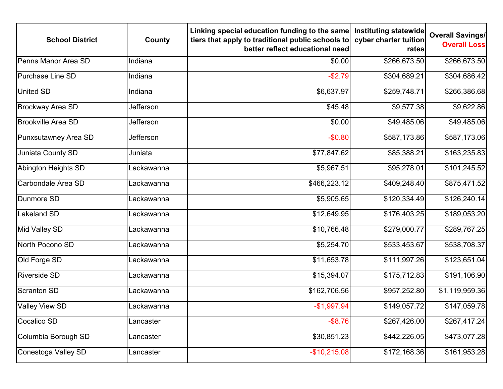| <b>School District</b>    | County           | Linking special education funding to the same<br>tiers that apply to traditional public schools to<br>better reflect educational need | Instituting statewide<br>cyber charter tuition<br>rates | <b>Overall Savings/</b><br><b>Overall Loss</b> |
|---------------------------|------------------|---------------------------------------------------------------------------------------------------------------------------------------|---------------------------------------------------------|------------------------------------------------|
| Penns Manor Area SD       | Indiana          | \$0.00                                                                                                                                | \$266,673.50                                            | \$266,673.50                                   |
| <b>Purchase Line SD</b>   | Indiana          | $-$2.79$                                                                                                                              | \$304,689.21                                            | \$304,686.42                                   |
| <b>United SD</b>          | Indiana          | \$6,637.97                                                                                                                            | \$259,748.71                                            | \$266,386.68                                   |
| <b>Brockway Area SD</b>   | <b>Jefferson</b> | \$45.48                                                                                                                               | \$9,577.38                                              | \$9,622.86                                     |
| <b>Brookville Area SD</b> | Jefferson        | \$0.00                                                                                                                                | \$49,485.06                                             | \$49,485.06                                    |
| Punxsutawney Area SD      | Jefferson        | $-$0.80$                                                                                                                              | \$587,173.86                                            | \$587,173.06                                   |
| Juniata County SD         | Juniata          | \$77,847.62                                                                                                                           | \$85,388.21                                             | \$163,235.83                                   |
| Abington Heights SD       | Lackawanna       | \$5,967.51                                                                                                                            | \$95,278.01                                             | \$101,245.52                                   |
| Carbondale Area SD        | Lackawanna       | \$466,223.12                                                                                                                          | \$409,248.40                                            | \$875,471.52                                   |
| Dunmore SD                | Lackawanna       | \$5,905.65                                                                                                                            | \$120,334.49                                            | \$126,240.14                                   |
| <b>Lakeland SD</b>        | Lackawanna       | \$12,649.95                                                                                                                           | \$176,403.25                                            | \$189,053.20                                   |
| Mid Valley SD             | Lackawanna       | \$10,766.48                                                                                                                           | \$279,000.77                                            | \$289,767.25                                   |
| North Pocono SD           | Lackawanna       | \$5,254.70                                                                                                                            | \$533,453.67                                            | \$538,708.37                                   |
| Old Forge SD              | Lackawanna       | \$11,653.78                                                                                                                           | \$111,997.26                                            | \$123,651.04                                   |
| <b>Riverside SD</b>       | Lackawanna       | \$15,394.07                                                                                                                           | \$175,712.83                                            | \$191,106.90                                   |
| Scranton SD               | Lackawanna       | \$162,706.56                                                                                                                          | \$957,252.80                                            | \$1,119,959.36                                 |
| <b>Valley View SD</b>     | Lackawanna       | $-$1,997.94$                                                                                                                          | \$149,057.72                                            | \$147,059.78                                   |
| Cocalico SD               | Lancaster        | $-$ \$8.76                                                                                                                            | \$267,426.00                                            | \$267,417.24                                   |
| Columbia Borough SD       | Lancaster        | \$30,851.23                                                                                                                           | \$442,226.05                                            | \$473,077.28                                   |
| Conestoga Valley SD       | Lancaster        | $-$10,215.08$                                                                                                                         | \$172,168.36                                            | \$161,953.28                                   |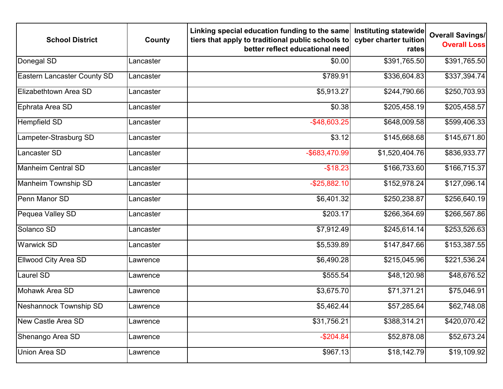| <b>School District</b>             | County    | Linking special education funding to the same<br>tiers that apply to traditional public schools to<br>better reflect educational need | Instituting statewide<br>cyber charter tuition<br>rates | <b>Overall Savings/</b><br><b>Overall Loss</b> |
|------------------------------------|-----------|---------------------------------------------------------------------------------------------------------------------------------------|---------------------------------------------------------|------------------------------------------------|
| Donegal SD                         | Lancaster | \$0.00                                                                                                                                | \$391,765.50                                            | \$391,765.50                                   |
| <b>Eastern Lancaster County SD</b> | Lancaster | \$789.91                                                                                                                              | \$336,604.83                                            | \$337,394.74                                   |
| Elizabethtown Area SD              | Lancaster | \$5,913.27                                                                                                                            | \$244,790.66                                            | \$250,703.93                                   |
| Ephrata Area SD                    | Lancaster | \$0.38                                                                                                                                | \$205,458.19                                            | \$205,458.57                                   |
| <b>Hempfield SD</b>                | Lancaster | $-$ \$48,603.25                                                                                                                       | \$648,009.58                                            | \$599,406.33                                   |
| Lampeter-Strasburg SD              | Lancaster | \$3.12                                                                                                                                | \$145,668.68                                            | \$145,671.80                                   |
| Lancaster SD                       | Lancaster | -\$683,470.99                                                                                                                         | \$1,520,404.76                                          | \$836,933.77                                   |
| <b>Manheim Central SD</b>          | Lancaster | $-$18.23$                                                                                                                             | \$166,733.60                                            | \$166,715.37                                   |
| Manheim Township SD                | Lancaster | $-$ \$25,882.10                                                                                                                       | \$152,978.24                                            | \$127,096.14                                   |
| Penn Manor SD                      | Lancaster | \$6,401.32                                                                                                                            | \$250,238.87                                            | \$256,640.19                                   |
| Pequea Valley SD                   | Lancaster | \$203.17                                                                                                                              | \$266,364.69                                            | \$266,567.86                                   |
| Solanco SD                         | Lancaster | \$7,912.49                                                                                                                            | \$245,614.14                                            | \$253,526.63                                   |
| <b>Warwick SD</b>                  | Lancaster | \$5,539.89                                                                                                                            | \$147,847.66                                            | \$153,387.55                                   |
| <b>Ellwood City Area SD</b>        | Lawrence  | \$6,490.28                                                                                                                            | \$215,045.96                                            | \$221,536.24                                   |
| Laurel SD                          | Lawrence  | \$555.54                                                                                                                              | \$48,120.98                                             | \$48,676.52                                    |
| Mohawk Area SD                     | Lawrence  | \$3,675.70                                                                                                                            | \$71,371.21                                             | \$75,046.91                                    |
| Neshannock Township SD             | Lawrence  | \$5,462.44                                                                                                                            | \$57,285.64                                             | \$62,748.08                                    |
| <b>New Castle Area SD</b>          | Lawrence  | \$31,756.21                                                                                                                           | \$388,314.21                                            | \$420,070.42                                   |
| Shenango Area SD                   | Lawrence  | $-$204.84$                                                                                                                            | \$52,878.08                                             | \$52,673.24                                    |
| Union Area SD                      | Lawrence  | \$967.13                                                                                                                              | \$18,142.79                                             | \$19,109.92                                    |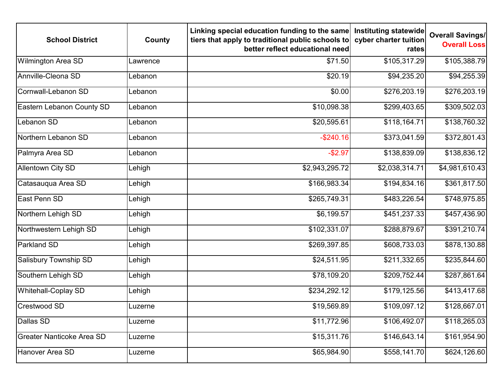| <b>School District</b>           | County   | Linking special education funding to the same<br>tiers that apply to traditional public schools to<br>better reflect educational need | Instituting statewide<br>cyber charter tuition<br>rates | <b>Overall Savings/</b><br><b>Overall Loss</b> |
|----------------------------------|----------|---------------------------------------------------------------------------------------------------------------------------------------|---------------------------------------------------------|------------------------------------------------|
| <b>Wilmington Area SD</b>        | Lawrence | \$71.50                                                                                                                               | \$105,317.29                                            | \$105,388.79                                   |
| Annville-Cleona SD               | Lebanon  | \$20.19                                                                                                                               | \$94,235.20                                             | \$94,255.39                                    |
| Cornwall-Lebanon SD              | Lebanon  | \$0.00                                                                                                                                | \$276,203.19                                            | \$276,203.19                                   |
| Eastern Lebanon County SD        | Lebanon  | \$10,098.38                                                                                                                           | \$299,403.65                                            | \$309,502.03                                   |
| Lebanon SD                       | Lebanon  | \$20,595.61                                                                                                                           | \$118,164.71                                            | \$138,760.32                                   |
| Northern Lebanon SD              | Lebanon  | $-$240.16$                                                                                                                            | \$373,041.59                                            | \$372,801.43                                   |
| Palmyra Area SD                  | Lebanon  | $-$2.97$                                                                                                                              | \$138,839.09                                            | \$138,836.12                                   |
| <b>Allentown City SD</b>         | Lehigh   | \$2,943,295.72                                                                                                                        | \$2,038,314.71                                          | \$4,981,610.43                                 |
| Catasauqua Area SD               | Lehigh   | \$166,983.34                                                                                                                          | \$194,834.16                                            | \$361,817.50                                   |
| East Penn SD                     | Lehigh   | \$265,749.31                                                                                                                          | \$483,226.54                                            | \$748,975.85                                   |
| Northern Lehigh SD               | Lehigh   | \$6,199.57                                                                                                                            | \$451,237.33                                            | \$457,436.90                                   |
| Northwestern Lehigh SD           | Lehigh   | \$102,331.07                                                                                                                          | \$288,879.67                                            | \$391,210.74                                   |
| Parkland SD                      | Lehigh   | \$269,397.85                                                                                                                          | \$608,733.03                                            | \$878,130.88                                   |
| Salisbury Township SD            | Lehigh   | \$24,511.95                                                                                                                           | \$211,332.65                                            | \$235,844.60                                   |
| Southern Lehigh SD               | Lehigh   | \$78,109.20                                                                                                                           | \$209,752.44                                            | \$287,861.64                                   |
| Whitehall-Coplay SD              | Lehigh   | \$234,292.12                                                                                                                          | \$179,125.56                                            | \$413,417.68                                   |
| <b>Crestwood SD</b>              | Luzerne  | \$19,569.89                                                                                                                           | \$109,097.12                                            | \$128,667.01                                   |
| Dallas SD                        | Luzerne  | \$11,772.96                                                                                                                           | \$106,492.07                                            | \$118,265.03                                   |
| <b>Greater Nanticoke Area SD</b> | Luzerne  | \$15,311.76                                                                                                                           | \$146,643.14                                            | \$161,954.90                                   |
| Hanover Area SD                  | Luzerne  | \$65,984.90                                                                                                                           | \$558,141.70                                            | \$624,126.60                                   |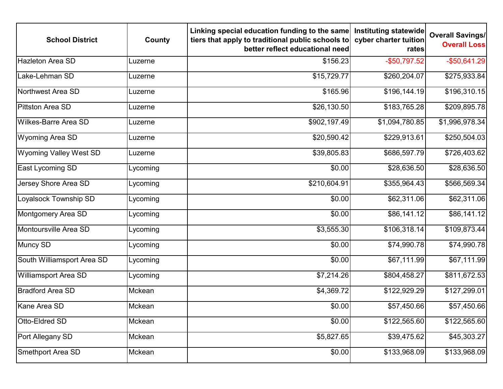| <b>School District</b>        | County   | Linking special education funding to the same<br>tiers that apply to traditional public schools to<br>better reflect educational need | Instituting statewide<br>cyber charter tuition<br>rates | <b>Overall Savings/</b><br><b>Overall Loss</b> |
|-------------------------------|----------|---------------------------------------------------------------------------------------------------------------------------------------|---------------------------------------------------------|------------------------------------------------|
| <b>Hazleton Area SD</b>       | Luzerne  | \$156.23                                                                                                                              | $-$50,797.52$                                           | $-$50,641.29$                                  |
| Lake-Lehman SD                | Luzerne  | \$15,729.77                                                                                                                           | \$260,204.07                                            | \$275,933.84                                   |
| Northwest Area SD             | Luzerne  | \$165.96                                                                                                                              | \$196,144.19                                            | \$196,310.15                                   |
| <b>Pittston Area SD</b>       | Luzerne  | \$26,130.50                                                                                                                           | \$183,765.28                                            | \$209,895.78                                   |
| <b>Wilkes-Barre Area SD</b>   | Luzerne  | \$902,197.49                                                                                                                          | \$1,094,780.85                                          | \$1,996,978.34                                 |
| Wyoming Area SD               | Luzerne  | \$20,590.42                                                                                                                           | \$229,913.61                                            | \$250,504.03                                   |
| <b>Wyoming Valley West SD</b> | Luzerne  | \$39,805.83                                                                                                                           | \$686,597.79                                            | \$726,403.62                                   |
| East Lycoming SD              | Lycoming | \$0.00                                                                                                                                | \$28,636.50                                             | \$28,636.50                                    |
| Jersey Shore Area SD          | Lycoming | \$210,604.91                                                                                                                          | \$355,964.43                                            | \$566,569.34                                   |
| Loyalsock Township SD         | Lycoming | \$0.00                                                                                                                                | \$62,311.06                                             | \$62,311.06                                    |
| Montgomery Area SD            | Lycoming | \$0.00                                                                                                                                | \$86,141.12                                             | \$86,141.12                                    |
| Montoursville Area SD         | Lycoming | \$3,555.30                                                                                                                            | \$106,318.14                                            | \$109,873.44                                   |
| <b>Muncy SD</b>               | Lycoming | \$0.00                                                                                                                                | \$74,990.78                                             | \$74,990.78                                    |
| South Williamsport Area SD    | Lycoming | \$0.00                                                                                                                                | \$67,111.99                                             | \$67,111.99                                    |
| <b>Williamsport Area SD</b>   | Lycoming | \$7,214.26                                                                                                                            | \$804,458.27                                            | \$811,672.53                                   |
| <b>Bradford Area SD</b>       | Mckean   | \$4,369.72                                                                                                                            | \$122,929.29                                            | \$127,299.01                                   |
| Kane Area SD                  | Mckean   | \$0.00                                                                                                                                | \$57,450.66                                             | \$57,450.66                                    |
| Otto-Eldred SD                | Mckean   | \$0.00                                                                                                                                | \$122,565.60                                            | \$122,565.60                                   |
| Port Allegany SD              | Mckean   | \$5,827.65                                                                                                                            | \$39,475.62                                             | \$45,303.27                                    |
| Smethport Area SD             | Mckean   | \$0.00                                                                                                                                | \$133,968.09                                            | \$133,968.09                                   |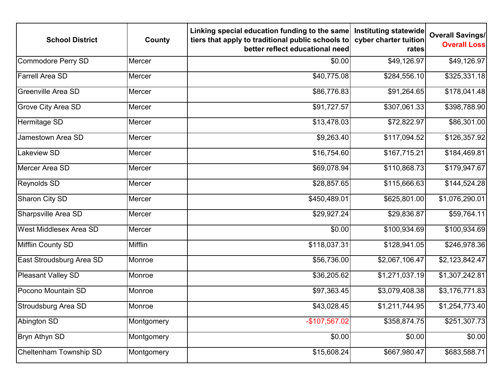| <b>School District</b>        | County     | Linking special education funding to the same<br>tiers that apply to traditional public schools to<br>better reflect educational need | Instituting statewide<br>cyber charter tuition<br>rates | <b>Overall Savings/</b><br><b>Overall Loss</b> |
|-------------------------------|------------|---------------------------------------------------------------------------------------------------------------------------------------|---------------------------------------------------------|------------------------------------------------|
| <b>Commodore Perry SD</b>     | Mercer     | \$0.00                                                                                                                                | \$49,126.97                                             | \$49,126.97                                    |
| <b>Farrell Area SD</b>        | Mercer     | \$40,775.08                                                                                                                           | \$284,556.10                                            | \$325,331.18                                   |
| <b>Greenville Area SD</b>     | Mercer     | \$86,776.83                                                                                                                           | \$91,264.65                                             | \$178,041.48                                   |
| <b>Grove City Area SD</b>     | Mercer     | \$91,727.57                                                                                                                           | \$307,061.33                                            | \$398,788.90                                   |
| Hermitage SD                  | Mercer     | \$13,478.03                                                                                                                           | \$72,822.97                                             | \$86,301.00                                    |
| Jamestown Area SD             | Mercer     | \$9,263.40                                                                                                                            | \$117,094.52                                            | \$126,357.92                                   |
| Lakeview SD                   | Mercer     | \$16,754.60                                                                                                                           | \$167,715.21                                            | \$184,469.81                                   |
| Mercer Area SD                | Mercer     | \$69,078.94                                                                                                                           | \$110,868.73                                            | \$179,947.67                                   |
| <b>Reynolds SD</b>            | Mercer     | \$28,857.65                                                                                                                           | \$115,666.63                                            | \$144,524.28                                   |
| Sharon City SD                | Mercer     | \$450,489.01                                                                                                                          | \$625,801.00                                            | \$1,076,290.01                                 |
| Sharpsville Area SD           | Mercer     | \$29,927.24                                                                                                                           | \$29,836.87                                             | \$59,764.11                                    |
| <b>West Middlesex Area SD</b> | Mercer     | \$0.00                                                                                                                                | \$100,934.69                                            | \$100,934.69                                   |
| Mifflin County SD             | Mifflin    | \$118,037.31                                                                                                                          | \$128,941.05                                            | \$246,978.36                                   |
| East Stroudsburg Area SD      | Monroe     | \$56,736.00                                                                                                                           | \$2,067,106.47                                          | \$2,123,842.47                                 |
| Pleasant Valley SD            | Monroe     | \$36,205.62                                                                                                                           | \$1,271,037.19                                          | \$1,307,242.81                                 |
| Pocono Mountain SD            | Monroe     | \$97,363.45                                                                                                                           | \$3,079,408.38                                          | \$3,176,771.83                                 |
| Stroudsburg Area SD           | Monroe     | \$43,028.45                                                                                                                           | \$1,211,744.95                                          | \$1,254,773.40                                 |
| <b>Abington SD</b>            | Montgomery | -\$107,567.02                                                                                                                         | \$358,874.75                                            | \$251,307.73                                   |
| Bryn Athyn SD                 | Montgomery | \$0.00                                                                                                                                | \$0.00                                                  | \$0.00                                         |
| Cheltenham Township SD        | Montgomery | \$15,608.24                                                                                                                           | \$667,980.47                                            | \$683,588.71                                   |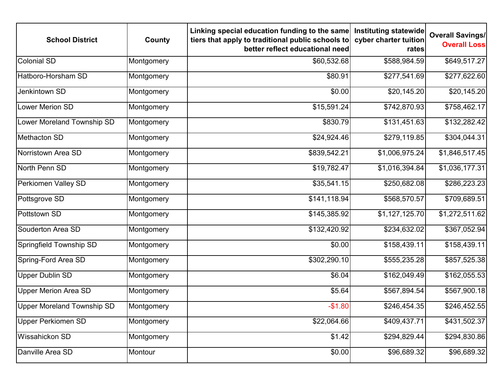| <b>School District</b>      | County     | Linking special education funding to the same<br>tiers that apply to traditional public schools to<br>better reflect educational need | Instituting statewide<br>cyber charter tuition<br>rates | <b>Overall Savings/</b><br><b>Overall Loss</b> |
|-----------------------------|------------|---------------------------------------------------------------------------------------------------------------------------------------|---------------------------------------------------------|------------------------------------------------|
| <b>Colonial SD</b>          | Montgomery | \$60,532.68                                                                                                                           | \$588,984.59                                            | \$649,517.27                                   |
| Hatboro-Horsham SD          | Montgomery | \$80.91                                                                                                                               | \$277,541.69                                            | \$277,622.60                                   |
| Jenkintown SD               | Montgomery | \$0.00                                                                                                                                | \$20,145.20                                             | \$20,145.20                                    |
| Lower Merion SD             | Montgomery | \$15,591.24                                                                                                                           | \$742,870.93                                            | \$758,462.17                                   |
| Lower Moreland Township SD  | Montgomery | \$830.79                                                                                                                              | \$131,451.63                                            | \$132,282.42                                   |
| Methacton SD                | Montgomery | \$24,924.46                                                                                                                           | \$279,119.85                                            | \$304,044.31                                   |
| Norristown Area SD          | Montgomery | \$839,542.21                                                                                                                          | \$1,006,975.24                                          | \$1,846,517.45                                 |
| North Penn SD               | Montgomery | \$19,782.47                                                                                                                           | \$1,016,394.84                                          | \$1,036,177.31                                 |
| Perkiomen Valley SD         | Montgomery | \$35,541.15                                                                                                                           | \$250,682.08                                            | \$286,223.23                                   |
| Pottsgrove SD               | Montgomery | \$141,118.94                                                                                                                          | \$568,570.57                                            | \$709,689.51                                   |
| Pottstown SD                | Montgomery | \$145,385.92                                                                                                                          | \$1,127,125.70                                          | \$1,272,511.62                                 |
| Souderton Area SD           | Montgomery | \$132,420.92                                                                                                                          | \$234,632.02                                            | \$367,052.94                                   |
| Springfield Township SD     | Montgomery | \$0.00                                                                                                                                | \$158,439.11                                            | \$158,439.11                                   |
| <b>Spring-Ford Area SD</b>  | Montgomery | \$302,290.10                                                                                                                          | \$555,235.28                                            | \$857,525.38                                   |
| <b>Upper Dublin SD</b>      | Montgomery | \$6.04                                                                                                                                | \$162,049.49                                            | \$162,055.53                                   |
| <b>Upper Merion Area SD</b> | Montgomery | \$5.64                                                                                                                                | \$567,894.54                                            | \$567,900.18                                   |
| Upper Moreland Township SD  | Montgomery | $-$1.80$                                                                                                                              | \$246,454.35                                            | \$246,452.55                                   |
| <b>Upper Perkiomen SD</b>   | Montgomery | \$22,064.66                                                                                                                           | \$409,437.71                                            | \$431,502.37                                   |
| <b>Wissahickon SD</b>       | Montgomery | \$1.42                                                                                                                                | \$294,829.44                                            | \$294,830.86                                   |
| Danville Area SD            | Montour    | \$0.00                                                                                                                                | \$96,689.32                                             | \$96,689.32                                    |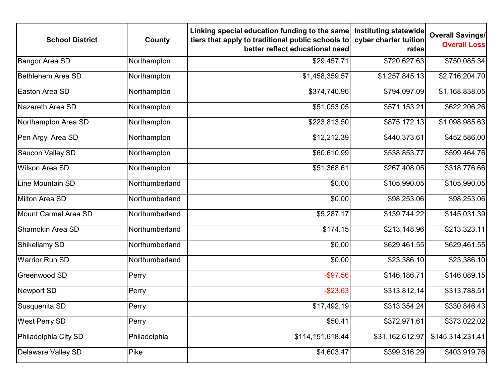| <b>School District</b>   | County         | Linking special education funding to the same<br>tiers that apply to traditional public schools to<br>better reflect educational need | Instituting statewide<br>cyber charter tuition<br>rates | <b>Overall Savings/</b><br><b>Overall Loss</b> |
|--------------------------|----------------|---------------------------------------------------------------------------------------------------------------------------------------|---------------------------------------------------------|------------------------------------------------|
| <b>Bangor Area SD</b>    | Northampton    | \$29,457.71                                                                                                                           | \$720,627.63                                            | \$750,085.34                                   |
| <b>Bethlehem Area SD</b> | Northampton    | \$1,458,359.57                                                                                                                        | \$1,257,845.13                                          | \$2,716,204.70                                 |
| Easton Area SD           | Northampton    | \$374,740.96                                                                                                                          | \$794,097.09                                            | \$1,168,838.05                                 |
| Nazareth Area SD         | Northampton    | \$51,053.05                                                                                                                           | \$571,153.21                                            | \$622,206.26                                   |
| Northampton Area SD      | Northampton    | \$223,813.50                                                                                                                          | \$875,172.13                                            | \$1,098,985.63                                 |
| Pen Argyl Area SD        | Northampton    | \$12,212.39                                                                                                                           | \$440,373.61                                            | \$452,586.00                                   |
| Saucon Valley SD         | Northampton    | \$60,610.99                                                                                                                           | \$538,853.77                                            | \$599,464.76                                   |
| <b>Wilson Area SD</b>    | Northampton    | \$51,368.61                                                                                                                           | \$267,408.05                                            | \$318,776.66                                   |
| Line Mountain SD         | Northumberland | \$0.00                                                                                                                                | \$105,990.05                                            | \$105,990.05                                   |
| Milton Area SD           | Northumberland | \$0.00                                                                                                                                | \$98,253.06                                             | \$98,253.06                                    |
| Mount Carmel Area SD     | Northumberland | \$5,287.17                                                                                                                            | \$139,744.22                                            | \$145,031.39                                   |
| Shamokin Area SD         | Northumberland | \$174.15                                                                                                                              | \$213,148.96                                            | \$213,323.11                                   |
| Shikellamy SD            | Northumberland | \$0.00                                                                                                                                | \$629,461.55                                            | \$629,461.55                                   |
| <b>Warrior Run SD</b>    | Northumberland | \$0.00                                                                                                                                | \$23,386.10                                             | \$23,386.10                                    |
| Greenwood SD             | Perry          | $-$ \$97.56                                                                                                                           | \$146,186.71                                            | \$146,089.15                                   |
| Newport SD               | Perry          | $-$23.63$                                                                                                                             | \$313,812.14                                            | \$313,788.51                                   |
| Susquenita SD            | Perry          | \$17,492.19                                                                                                                           | \$313,354.24                                            | \$330,846.43                                   |
| <b>West Perry SD</b>     | Perry          | \$50.41                                                                                                                               | \$372,971.61                                            | \$373,022.02                                   |
| Philadelphia City SD     | Philadelphia   | \$114,151,618.44                                                                                                                      | \$31,162,612.97                                         | \$145,314,231.41                               |
| Delaware Valley SD       | Pike           | \$4,603.47                                                                                                                            | \$399,316.29                                            | \$403,919.76                                   |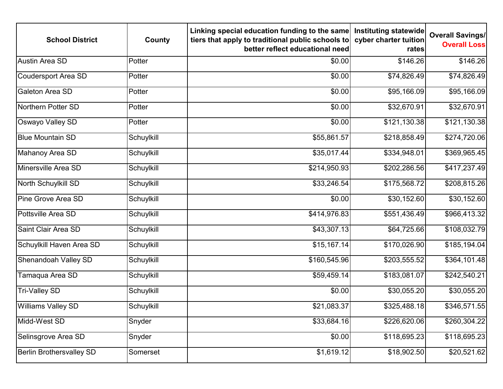| <b>School District</b>          | County     | Linking special education funding to the same<br>tiers that apply to traditional public schools to<br>better reflect educational need | Instituting statewide<br>cyber charter tuition<br>rates | <b>Overall Savings/</b><br><b>Overall Loss</b> |
|---------------------------------|------------|---------------------------------------------------------------------------------------------------------------------------------------|---------------------------------------------------------|------------------------------------------------|
| <b>Austin Area SD</b>           | Potter     | \$0.00                                                                                                                                | \$146.26                                                | \$146.26                                       |
| <b>Coudersport Area SD</b>      | Potter     | \$0.00                                                                                                                                | \$74,826.49                                             | \$74,826.49                                    |
| Galeton Area SD                 | Potter     | \$0.00                                                                                                                                | \$95,166.09                                             | \$95,166.09                                    |
| Northern Potter SD              | Potter     | \$0.00                                                                                                                                | \$32,670.91                                             | \$32,670.91                                    |
| Oswayo Valley SD                | Potter     | \$0.00                                                                                                                                | \$121,130.38                                            | \$121,130.38                                   |
| <b>Blue Mountain SD</b>         | Schuylkill | \$55,861.57                                                                                                                           | \$218,858.49                                            | \$274,720.06                                   |
| Mahanoy Area SD                 | Schuylkill | \$35,017.44                                                                                                                           | \$334,948.01                                            | \$369,965.45                                   |
| Minersville Area SD             | Schuylkill | \$214,950.93                                                                                                                          | \$202,286.56                                            | \$417,237.49                                   |
| North Schuylkill SD             | Schuylkill | \$33,246.54                                                                                                                           | \$175,568.72                                            | \$208,815.26                                   |
| <b>Pine Grove Area SD</b>       | Schuylkill | \$0.00                                                                                                                                | \$30,152.60                                             | \$30,152.60                                    |
| Pottsville Area SD              | Schuylkill | \$414,976.83                                                                                                                          | \$551,436.49                                            | \$966,413.32                                   |
| Saint Clair Area SD             | Schuylkill | \$43,307.13                                                                                                                           | \$64,725.66                                             | \$108,032.79                                   |
| Schuylkill Haven Area SD        | Schuylkill | \$15,167.14                                                                                                                           | \$170,026.90                                            | \$185,194.04                                   |
| Shenandoah Valley SD            | Schuylkill | \$160,545.96                                                                                                                          | \$203,555.52                                            | \$364,101.48                                   |
| Tamaqua Area SD                 | Schuylkill | \$59,459.14                                                                                                                           | \$183,081.07                                            | \$242,540.21                                   |
| <b>Tri-Valley SD</b>            | Schuylkill | \$0.00                                                                                                                                | \$30,055.20                                             | \$30,055.20                                    |
| <b>Williams Valley SD</b>       | Schuylkill | \$21,083.37                                                                                                                           | \$325,488.18                                            | \$346,571.55                                   |
| Midd-West SD                    | Snyder     | \$33,684.16                                                                                                                           | \$226,620.06                                            | \$260,304.22                                   |
| Selinsgrove Area SD             | Snyder     | \$0.00                                                                                                                                | \$118,695.23                                            | \$118,695.23                                   |
| <b>Berlin Brothersvalley SD</b> | Somerset   | \$1,619.12                                                                                                                            | \$18,902.50                                             | \$20,521.62                                    |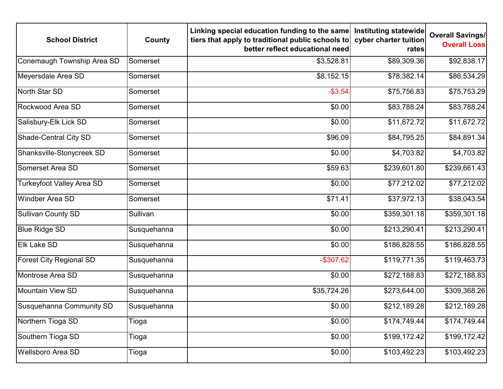| <b>School District</b>           | County      | Linking special education funding to the same<br>tiers that apply to traditional public schools to<br>better reflect educational need | Instituting statewide<br>cyber charter tuition<br>rates | <b>Overall Savings/</b><br><b>Overall Loss</b> |
|----------------------------------|-------------|---------------------------------------------------------------------------------------------------------------------------------------|---------------------------------------------------------|------------------------------------------------|
| Conemaugh Township Area SD       | Somerset    | \$3,528.81                                                                                                                            | \$89,309.36                                             | \$92,838.17                                    |
| Meyersdale Area SD               | Somerset    | \$8,152.15                                                                                                                            | \$78,382.14                                             | \$86,534.29                                    |
| North Star SD                    | Somerset    | $-$ \$3.54                                                                                                                            | \$75,756.83                                             | \$75,753.29                                    |
| Rockwood Area SD                 | Somerset    | \$0.00                                                                                                                                | \$83,788.24                                             | \$83,788.24                                    |
| Salisbury-Elk Lick SD            | Somerset    | \$0.00                                                                                                                                | \$11,672.72                                             | \$11,672.72                                    |
| <b>Shade-Central City SD</b>     | Somerset    | \$96.09                                                                                                                               | \$84,795.25                                             | \$84,891.34                                    |
| Shanksville-Stonycreek SD        | Somerset    | \$0.00                                                                                                                                | \$4,703.82                                              | \$4,703.82                                     |
| Somerset Area SD                 | Somerset    | \$59.63                                                                                                                               | \$239,601.80                                            | \$239,661.43                                   |
| <b>Turkeyfoot Valley Area SD</b> | Somerset    | \$0.00                                                                                                                                | \$77,212.02                                             | \$77,212.02                                    |
| <b>Windber Area SD</b>           | Somerset    | \$71.41                                                                                                                               | \$37,972.13                                             | \$38,043.54                                    |
| <b>Sullivan County SD</b>        | Sullivan    | \$0.00                                                                                                                                | \$359,301.18                                            | \$359,301.18                                   |
| <b>Blue Ridge SD</b>             | Susquehanna | \$0.00                                                                                                                                | \$213,290.41                                            | \$213,290.41                                   |
| <b>Elk Lake SD</b>               | Susquehanna | \$0.00                                                                                                                                | \$186,828.55                                            | \$186,828.55                                   |
| <b>Forest City Regional SD</b>   | Susquehanna | $-$307.62$                                                                                                                            | \$119,771.35                                            | \$119,463.73                                   |
| Montrose Area SD                 | Susquehanna | \$0.00                                                                                                                                | \$272,188.83                                            | \$272,188.83                                   |
| <b>Mountain View SD</b>          | Susquehanna | \$35,724.26                                                                                                                           | \$273,644.00                                            | \$309,368.26                                   |
| Susquehanna Community SD         | Susquehanna | \$0.00                                                                                                                                | \$212,189.28                                            | \$212,189.28                                   |
| Northern Tioga SD                | Tioga       | \$0.00                                                                                                                                | \$174,749.44                                            | \$174,749.44                                   |
| Southern Tioga SD                | Tioga       | \$0.00                                                                                                                                | \$199,172.42                                            | \$199,172.42                                   |
| <b>Wellsboro Area SD</b>         | Tioga       | \$0.00                                                                                                                                | \$103,492.23                                            | \$103,492.23                                   |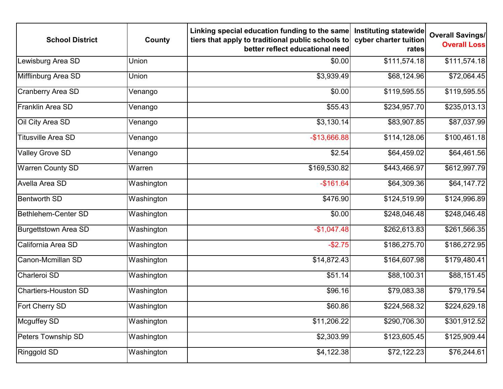| <b>School District</b>      | County     | Linking special education funding to the same<br>tiers that apply to traditional public schools to<br>better reflect educational need | Instituting statewide<br>cyber charter tuition<br>rates | <b>Overall Savings/</b><br><b>Overall Loss</b> |
|-----------------------------|------------|---------------------------------------------------------------------------------------------------------------------------------------|---------------------------------------------------------|------------------------------------------------|
| Lewisburg Area SD           | Union      | \$0.00                                                                                                                                | \$111,574.18                                            | \$111,574.18                                   |
| Mifflinburg Area SD         | Union      | \$3,939.49                                                                                                                            | \$68,124.96                                             | \$72,064.45                                    |
| <b>Cranberry Area SD</b>    | Venango    | \$0.00                                                                                                                                | \$119,595.55                                            | \$119,595.55                                   |
| Franklin Area SD            | Venango    | \$55.43                                                                                                                               | \$234,957.70                                            | \$235,013.13                                   |
| Oil City Area SD            | Venango    | \$3,130.14                                                                                                                            | \$83,907.85                                             | \$87,037.99                                    |
| <b>Titusville Area SD</b>   | Venango    | $-$13,666.88$                                                                                                                         | \$114,128.06                                            | \$100,461.18                                   |
| Valley Grove SD             | Venango    | \$2.54                                                                                                                                | \$64,459.02                                             | \$64,461.56                                    |
| <b>Warren County SD</b>     | Warren     | \$169,530.82                                                                                                                          | \$443,466.97                                            | \$612,997.79                                   |
| Avella Area SD              | Washington | $-$161.64$                                                                                                                            | \$64,309.36                                             | \$64,147.72                                    |
| <b>Bentworth SD</b>         | Washington | \$476.90                                                                                                                              | \$124,519.99                                            | \$124,996.89                                   |
| Bethlehem-Center SD         | Washington | \$0.00                                                                                                                                | \$248,046.48                                            | \$248,046.48                                   |
| <b>Burgettstown Area SD</b> | Washington | $-$1,047.48$                                                                                                                          | \$262,613.83                                            | \$261,566.35                                   |
| California Area SD          | Washington | $-$2.75$                                                                                                                              | \$186,275.70                                            | \$186,272.95                                   |
| Canon-Mcmillan SD           | Washington | \$14,872.43                                                                                                                           | \$164,607.98                                            | \$179,480.41                                   |
| Charleroi SD                | Washington | \$51.14                                                                                                                               | \$88,100.31                                             | \$88,151.45                                    |
| <b>Chartiers-Houston SD</b> | Washington | \$96.16                                                                                                                               | \$79,083.38                                             | \$79,179.54                                    |
| <b>Fort Cherry SD</b>       | Washington | \$60.86                                                                                                                               | \$224,568.32                                            | \$224,629.18                                   |
| Mcguffey SD                 | Washington | \$11,206.22                                                                                                                           | \$290,706.30                                            | \$301,912.52                                   |
| Peters Township SD          | Washington | \$2,303.99                                                                                                                            | \$123,605.45                                            | \$125,909.44                                   |
| Ringgold SD                 | Washington | \$4,122.38                                                                                                                            | \$72,122.23                                             | \$76,244.61                                    |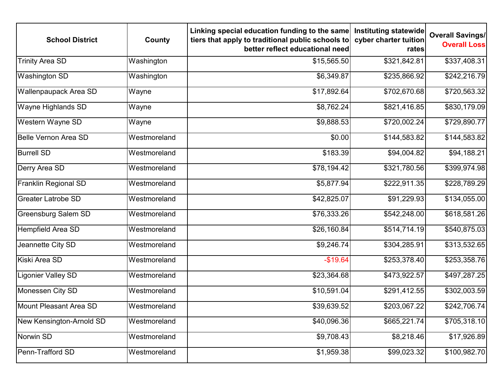| <b>School District</b>      | County       | Linking special education funding to the same<br>tiers that apply to traditional public schools to<br>better reflect educational need | Instituting statewide<br>cyber charter tuition<br>rates | <b>Overall Savings/</b><br><b>Overall Loss</b> |
|-----------------------------|--------------|---------------------------------------------------------------------------------------------------------------------------------------|---------------------------------------------------------|------------------------------------------------|
| <b>Trinity Area SD</b>      | Washington   | \$15,565.50                                                                                                                           | \$321,842.81                                            | \$337,408.31                                   |
| <b>Washington SD</b>        | Washington   | \$6,349.87                                                                                                                            | \$235,866.92                                            | \$242,216.79                                   |
| Wallenpaupack Area SD       | Wayne        | \$17,892.64                                                                                                                           | \$702,670.68                                            | \$720,563.32                                   |
| Wayne Highlands SD          | Wayne        | \$8,762.24                                                                                                                            | \$821,416.85                                            | \$830,179.09                                   |
| Western Wayne SD            | Wayne        | \$9,888.53                                                                                                                            | \$720,002.24                                            | \$729,890.77                                   |
| <b>Belle Vernon Area SD</b> | Westmoreland | \$0.00                                                                                                                                | \$144,583.82                                            | \$144,583.82                                   |
| <b>Burrell SD</b>           | Westmoreland | \$183.39                                                                                                                              | \$94,004.82                                             | \$94,188.21                                    |
| Derry Area SD               | Westmoreland | \$78,194.42                                                                                                                           | \$321,780.56                                            | \$399,974.98                                   |
| <b>Franklin Regional SD</b> | Westmoreland | \$5,877.94                                                                                                                            | \$222,911.35                                            | \$228,789.29                                   |
| <b>Greater Latrobe SD</b>   | Westmoreland | \$42,825.07                                                                                                                           | \$91,229.93                                             | \$134,055.00                                   |
| <b>Greensburg Salem SD</b>  | Westmoreland | \$76,333.26                                                                                                                           | \$542,248.00                                            | \$618,581.26                                   |
| Hempfield Area SD           | Westmoreland | \$26,160.84                                                                                                                           | \$514,714.19                                            | \$540,875.03                                   |
| Jeannette City SD           | Westmoreland | \$9,246.74                                                                                                                            | \$304,285.91                                            | \$313,532.65                                   |
| Kiski Area SD               | Westmoreland | $-$19.64$                                                                                                                             | \$253,378.40                                            | \$253,358.76                                   |
| <b>Ligonier Valley SD</b>   | Westmoreland | \$23,364.68                                                                                                                           | \$473,922.57                                            | \$497,287.25                                   |
| Monessen City SD            | Westmoreland | \$10,591.04                                                                                                                           | \$291,412.55                                            | \$302,003.59                                   |
| Mount Pleasant Area SD      | Westmoreland | \$39,639.52                                                                                                                           | \$203,067.22                                            | \$242,706.74                                   |
| New Kensington-Arnold SD    | Westmoreland | \$40,096.36                                                                                                                           | \$665,221.74                                            | \$705,318.10                                   |
| Norwin SD                   | Westmoreland | \$9,708.43                                                                                                                            | \$8,218.46                                              | \$17,926.89                                    |
| Penn-Trafford SD            | Westmoreland | \$1,959.38                                                                                                                            | \$99,023.32                                             | \$100,982.70                                   |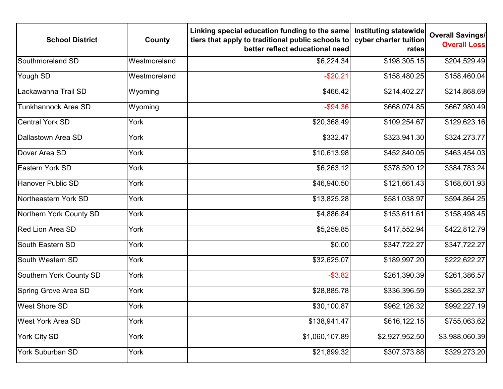| <b>School District</b>     | County       | Linking special education funding to the same<br>tiers that apply to traditional public schools to<br>better reflect educational need | Instituting statewide<br>cyber charter tuition<br>rates | <b>Overall Savings/</b><br><b>Overall Loss</b> |
|----------------------------|--------------|---------------------------------------------------------------------------------------------------------------------------------------|---------------------------------------------------------|------------------------------------------------|
| Southmoreland SD           | Westmoreland | \$6,224.34                                                                                                                            | \$198,305.15                                            | \$204,529.49                                   |
| Yough SD                   | Westmoreland | $-$20.21$                                                                                                                             | \$158,480.25                                            | \$158,460.04                                   |
| Lackawanna Trail SD        | Wyoming      | \$466.42                                                                                                                              | \$214,402.27                                            | \$214,868.69                                   |
| <b>Tunkhannock Area SD</b> | Wyoming      | $-$ \$94.36                                                                                                                           | \$668,074.85                                            | \$667,980.49                                   |
| <b>Central York SD</b>     | York         | \$20,368.49                                                                                                                           | \$109,254.67                                            | \$129,623.16                                   |
| Dallastown Area SD         | York         | \$332.47                                                                                                                              | \$323,941.30                                            | \$324,273.77                                   |
| Dover Area SD              | York         | \$10,613.98                                                                                                                           | \$452,840.05                                            | \$463,454.03                                   |
| Eastern York SD            | York         | \$6,263.12                                                                                                                            | \$378,520.12                                            | \$384,783.24                                   |
| <b>Hanover Public SD</b>   | York         | \$46,940.50                                                                                                                           | \$121,661.43                                            | \$168,601.93                                   |
| Northeastern York SD       | York         | \$13,825.28                                                                                                                           | \$581,038.97                                            | \$594,864.25                                   |
| Northern York County SD    | York         | \$4,886.84                                                                                                                            | \$153,611.61                                            | \$158,498.45                                   |
| <b>Red Lion Area SD</b>    | York         | \$5,259.85                                                                                                                            | \$417,552.94                                            | \$422,812.79                                   |
| <b>South Eastern SD</b>    | York         | \$0.00                                                                                                                                | \$347,722.27                                            | \$347,722.27                                   |
| South Western SD           | York         | \$32,625.07                                                                                                                           | \$189,997.20                                            | \$222,622.27                                   |
| Southern York County SD    | York         | $-$ \$3.82                                                                                                                            | \$261,390.39                                            | \$261,386.57                                   |
| Spring Grove Area SD       | York         | \$28,885.78                                                                                                                           | \$336,396.59                                            | \$365,282.37                                   |
| <b>West Shore SD</b>       | York         | \$30,100.87                                                                                                                           | \$962,126.32                                            | \$992,227.19                                   |
| West York Area SD          | York         | \$138,941.47                                                                                                                          | \$616, 122.15                                           | \$755,063.62                                   |
| York City SD               | York         | \$1,060,107.89                                                                                                                        | \$2,927,952.50                                          | \$3,988,060.39                                 |
| <b>York Suburban SD</b>    | York         | \$21,899.32                                                                                                                           | \$307,373.88                                            | \$329,273.20                                   |